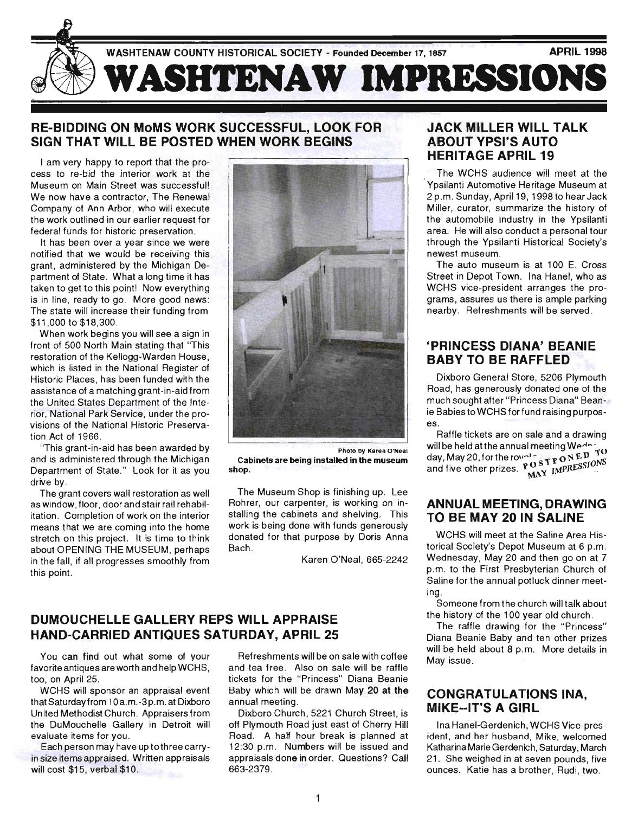

# RE-BIDDING ON MoMS WORK SUCCESSFUL, LOOK FOR SIGN THAT WILL BE POSTED WHEN WORK BEGINS

I am very happy to report that the process to re-bid the interior work at the Museum on Main Street was successful! We now have a contractor, The Renewal Company of Ann Arbor, who will execute the work outlined in our earlier request for federal funds for historic preservation.

It has been over a year since we were notified that we would be receiving this grant, administered by the Michigan Department of State. What a long time it has taken to get to this point! Now everything is in line, ready to go. More good news: The state will increase their funding from \$11 ,000 to \$18,300.

When work begins you will see a sign in front of 500 North Main stating that 'This restoration of the Kellogg-Warden House, which is listed in the National Register of Historic Places, has been funded with the assistance of a matching grant-in-aid from the United States Department of the Interior, National Park Service, under the provisions of the National Historic Preservation Act of 1966 .

"This grant-in-aid has been awarded by and is administered through the Michigan Department of State." Look for it as you drive by.

The grant covers wall restoration as well as window, floor, door and stair rail rehabilitation. Completion of work on the interior means that we are coming into the home stretch on this project. It is time to think about OPENING THE MUSEUM, perhaps in the fall, if all progresses smoothly from this point.



Photo by Karen O'Neal Cabinets are being installed in the museum shop.

The Museum Shop is finishing up. Lee Rohrer, our carpenter, is working on installing the cabinets and shelving. This work is being done with funds generously donated for that purpose by Doris Anna Bach.

Karen O'Neal, 665-2242

# DUMOUCHELLE GALLERY REPS WILL APPRAISE HAND-CARRIED ANTIQUES SATURDAY, APRIL 25

You can find out what some of your favorite antiques are worth and help WCHS, too, on April 25.

WCHS will sponsor an appraisal event that Saturday from 10 a.m.-3p.m. at Dixboro United Methodist Church. Appraisers from the DuMouchelle Gallery in Detroit will evaluate items for you.

Each person may have up tothree carryin size items appraised. Written appraisals will cost \$15, verbal \$10.

Refreshments will be on sale with coffee and tea free. Also on sale will be raffle tickets for the "Princess" Diana Beanie Baby which will be drawn May 20 at the annual meeting.

Dixboro Church, 5221 Church Street, is off Plymouth Road just east of Cherry Hill Road. A half hour break is planned at 12:30 p.m. Numbers will be issued and appraisals done in order. Questions? Call 663-2379.

# JACK MILLER WILL TALK ABOUT YPSI'S AUTO HERITAGE APRIL 19

The WCHS audience will meet at the Ypsilanti Automotive Heritage Museum at 2 p.m. Sunday, April 19, 1998 to hear Jack Miller, curator, summarize the history of the automobile industry in the Ypsilanti area. He will also conduct a personal tour through the Ypsilanti Historical Society's newest museum.

The auto museum is at 100 E. Cross Street in Depot Town. Ina Hanel, who as WCHS vice-president arranges the programs, assures us there is ample parking nearby. Refreshments will be served.

# 'PRINCESS DIANA' BEANIE BABY TO BE RAFFLED

Dixboro General Store, 5206 Plymouth Road, has generously donated one of the much sought after "Princess Diana" Beanie Babies to WCHS for fund raising purposes.

Raffle tickets are on sale and a drawing will be held at the annual meeting Wedn day, May 20, for the royal star pro N E  $\frac{\nu}{\nu}$  and five other prizes.  $\frac{\nu}{\nu}$  O  $\frac{\nu}{\nu}$  IMPRESSIONS

### ANNUAL MEETING, DRAWING TO BE MAY 20 IN SALINE

WCHS will meet at the Saline Area Historical Society's Depot Museum at 6 p.m. Wednesday, May 20 and then go on at 7 p.m. to the First Presbyterian Church of Saline for the annual potluck dinner meeting.

Someone from the church will talk about the history of the 100 year old church.

The raffle drawing for the "Princess" Diana Beanie Baby and ten other prizes will be held about 8 p.m. More details in May issue.

### CONGRATULATIONS INA, MIKE--IT'S A GIRL

Ina Hanel-Gerdenich, WCHS Vice-president, and her husband, Mike, welcomed Katharina Marie Gerdenich, Saturday, March 21. She weighed in at seven pounds, five ounces. Katie has a brother, Rudi, two.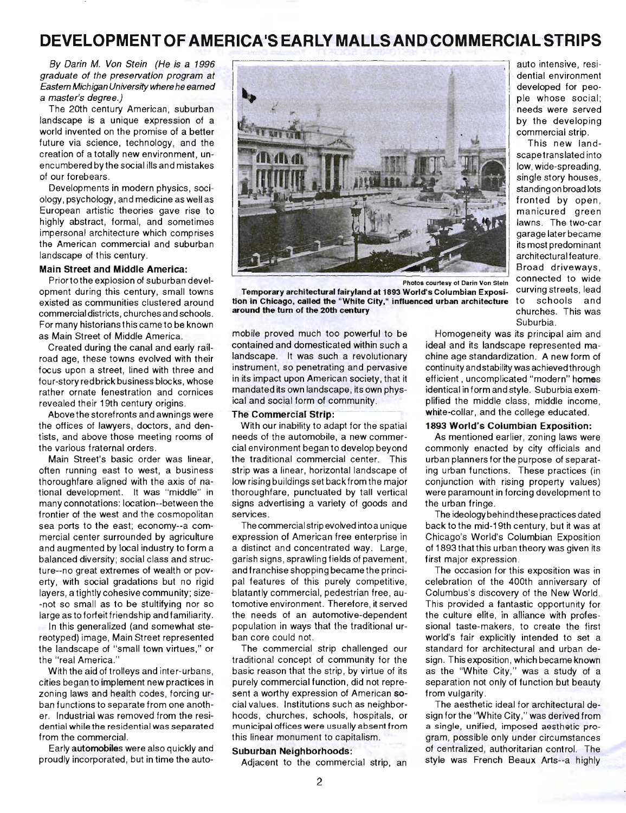# **DEVELOPMENT OF AMERICA1S EARLY MALLS AND COMMERCIALSTRIPS**

By Darin M. Von Stein (He is a 1996 graduate of the preservation program at Eastern Michigan Universfty where he earned a master's degree.)

The 20th century American, suburban landscape is a unique expression of a world invented on the promise of a better future via science, technology, and the creation of a totally new environment, unencumbered by the social ills and mistakes of our forebears.

Developments in modern physics, sociology, psychology, and medicine as well as European artistic theories gave rise to highly abstract, formal, and sometimes impersonal architecture which comprises the American commercial and suburban landscape of this century.

#### Main Street and Middle America:

Priortothe explosion of suburban development during this century, small towns existed as communities clustered around commercial districts, churches and schools. For many historians this came to be known as Main Street of Middle America.

Created during the canal and early railroad age, these towns evolved with their focus upon a street, lined with three and four-story red brick business blocks, whose rather ornate fenestration and cornices revealed their 19th century origins.

Above the storefronts and awnings were the offices of lawyers, doctors, and dentists, and above those meeting rooms of the various fraternal orders.

Main Street's basic order was linear, often running east to west, a business thoroughfare aligned with the axis of national development. It was "middle" in many connotations: location--between the frontier of the west and the cosmopolitan sea ports to the east; economy--a commercial center surrounded by agriculture and augmented by local industry to form a balanced diversity; social class and structure--no great extremes of wealth or poverty, with social gradations but no rigid layers, a tightly cohesive community; size- -not so small as to be stultifying nor so large as to forfeit friendship and familiarity. In this generalized (and somewhat stereotyped) image, Main Street represented the landscape of "small town virtues," or the "real America."

With the aid of trolleys and inter-urbans, cities began to implement new practices in zoning laws and health codes, forcing urban functions to separate from one another. Industrial was removed from the residential while the residential was separated from the commercial.

Early automobiles were also quickly and proudly incorporated, but in time the auto-



tion in Chicago, called the "White City," influenced urban architecture

Temporary architectural fairyland at 1893 World's Columbian Exposi-

auto intensive, residential environment , developed for peo ple whose social; needs were served commercial strip. by the developing

scapetranslated into This new landlow, wide-spreading, single story houses, fronted by open, standing on broad lots manicured green lawns. The two-car I garage later became its most predominant architectural feature. connected to wide curving streets, lead to schools and churches. This was Suburbia.

mobile proved much too powerful to be contained and domesticated within such a landscape, It was such a revolutionary instrument, so penetrating and pervasive in its impact upon American society, that it mandated its own landscape, its own physical and social form of community .

around the turn of the 20th century

#### The Commercial Strip:

With our inability to adapt for the spatial needs of the automobile, a new commercial environment began to develop beyond the traditional commercial center. This strip was a linear, horizontal landscape of low rising buildings set back from the major thoroughfare, punctuated by tall vertical signs advertising a variety of goods and services.

The commercial strip evolved into a unique expression of American free enterprise in a distinct and concentrated way. Large, garish signs, sprawling fields of pavement, and franchise shopping became the principal features of this purely competitive, blatantly commercial, pedestrian free, automotive environment. Therefore, it served the needs of an automotive-dependent population in ways that the traditional urban core could not.

The commercial strip challenged our traditional concept of community for the basic reason that the strip, by virtue of its purely commercial function, did not represent a worthy expression of American social values. Institutions such as neighborhoods, churches, schools, hospitals, or municipal offices were usually absent from this linear monument to capitalism.

#### Suburban Neighborhoods:

Adjacent to the commercial strip, an

Homogeneity was its principal aim and ideal and its landscape represented machine age standardization. A new form of continuity and stability was achieved through efficient , uncomplicated "modern" homes identical in form and style. Suburbia exemplified the middle class, middle income, white-collar, and the college educated.

#### 1893 World's Columbian Exposition:

As mentioned earlier, zoning laws were commonly enacted by city officials and urban planners forthe purpose of separating urban functions. These practices (in conjunction with rising property values) were paramount in forcing development to the urban fringe .

The ideology behind these practices dated back to the mid-19th century, but it was at Chicago's World's Columbian Exposition of 1893 that this urban theory was given its first major expression.

The occasion for this exposition was in celebration of the 400th anniversary of Columbus's discovery of the New World. This provided a fantastic opportunity for the culture elite, in alliance with professional taste-makers, to create the first world's fair explicitly intended to set a standard for architectural and urban design. This exposition, which became known as the "White City," was a study of a separation not only of function but beauty from vulgarity .

The aesthetic ideal for architectural design for the "White City," was derived from a single, unified, imposed aesthetic program, possible only under circumstances of centralized, authoritarian control. The style was French Beaux Arts--a highly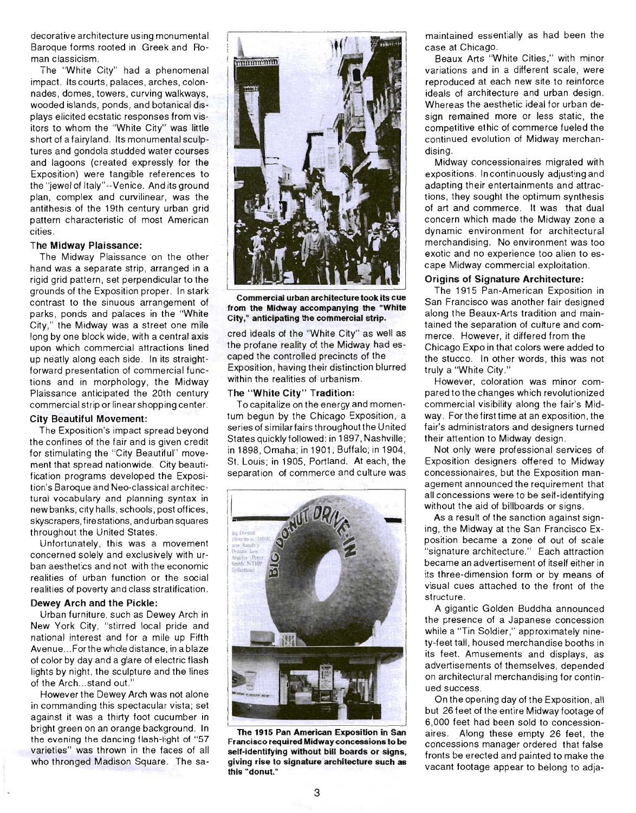decorative architecture using monumental Baroque forms rooted in Greek and Roman classicism.

The "White City" had a phenomenal impact. Its courts, palaces, arches, colonnades, domes, towers, curving walkways, wooded islands, ponds, and botanical displays elicited ecstatic responses from visitors to whom the "White City" was little short of a fairyland. Its monumental sculptures and gondola studded water courses and lagoons (created expressly for the Exposition) were tangible references to the "jewel of Italy"--Venice. And its ground plan, complex and curvilinear, was the antithesis of the 19th century urban grid pattern characteristic of most American cities .

#### The Midway Plaissance:

The Midway Plaissance on the other hand was a separate strip, arranged in a rigid grid pattern, set perpendicular to the grounds of the Exposition proper. In stark contrast to the sinuous arrangement of parks, ponds and palaces in the "White" City," the Midway was a street one mile long by one block wide, with a central axis upon which commercial attractions lined up neatly along each side. In its straightforward presentation of commercial functions and in morphology, the Midway Plaissance anticipated the 20th century commercial strip or linear shopping center.

#### **City Beautiful Movement:**

The Exposition's impact spread beyond the confines of the fair and is given credit for stimulating the "City Beautiful" movement that spread nationwide. City beautification programs developed the Exposition's Baroque and Neo-classical architectural vocabulary and planning syntax in new banks , city halls, schools, post offices , skyscrapers, firestations , and urban squares throughout the United States .

Unfortunately, this was a movement concerned solely and exclusively with urban aesthetics and not with the economic realities of urban function or the social realities of poverty and class stratification .

#### Dewey Arch and the Pickle:

Urban furniture, such as Dewey Arch in New York City, "stirred local pride and national interest and for a mile up Fifth Avenue ... Forthe whole distance, in a blaze of color by day and a glare of electric flash lights by night, the sculpture and the lines of the Arch...stand out.'

However the Dewey Arch was not alone in commanding this spectacular vista; set against it was a thirty foot cucumber in bright green on an orange background. In the evening the dancing flash-light of "57 varieties" was thrown in the faces of all who thronged Madison Square. The sa-



Commercial urban architecture took its cue from the Midway accompanying the "White City," anticipating the commercial strip.

cred ideals of the "White City" as well as the profane reality of the Midway had escaped the controlled precincts of the Exposition, having their distinction blurred within the realities of urbanism.

#### The "White City" Tradition:

To capitalize on the energy and momentum begun by the Chicago Exposition, a series of similar fairs throughout the United States quickly followed: in 1897, Nashville; in 1898, Omaha; in 1901 , Buffalo; in 1904, St. Louis; in 1905, Portland. At each, the separation of commerce and culture was



The 1915 Pan American Exposition in San Francisco required Midway concessions to be self-identifying without bill boards or signs, giving rise to signature architecture such as this "donut."

maintained essentially as had been the case at Chicago.

Beaux Arts "White Cities ," with minor variations and in a different scale, were reproduced at each new site to reinforce ideals of architecture and urban design. Whereas the aesthetic ideal for urban design remained more or less static, the competitive ethic of commerce fueled the continued evolution of Midway merchandising.

Midway concessionaires migrated with expositions. In continuously adjusting and adapting their entertainments and attractions, they sought the optimum synthesis of art and commerce. It was that dual concern which made the Midway zone a dynamic environment for architectural merchandising. No environment was too exotic and no experience too alien to escape Midway commercial exploitation .

#### Origins of Signature Architecture:

The 1915 Pan-American Exposition in San Francisco was another fair designed along the Beaux-Arts tradition and maintained the separation of culture and commerce. However, it differed from the Chicago Expo in that colors were added to the stucco. In other words, this was not truly a "White City."

However, coloration was minor compared to the changes which revolutionized commercial visibility along the fair's Midway. For the first time at an exposition, the fair's administrators and designers turned their attention to Midway design.

Not only were professional services of Exposition designers offered to Midway concessionaires, but the Exposition management announced the requirement that all concessions were to be self-identifying without the aid of billboards or signs.

As a result of the sanction against signing, the Midway at the San Francisco Exposition became a zone of out of scale "signature architecture." Each attraction became an advertisement of itself either in its three-dimension form or by means of visual cues attached to the front of the structure.

A gigantic Golden Buddha announced the presence of a Japanese concession while a "Tin Soldier," approximately ninety-feet tall, housed merchandise booths in its feet. Amusements and displays, as advertisements of themselves, depended on architectural merchandising for continued success.

On the opening day of the Exposition , all but 26 feet of the entire Midway footage of 6,000 feet had been sold to concessionaires. Along these empty 26 feet, the concessions manager ordered that false fronts be erected and painted to make the vacant footage appear to belong to adja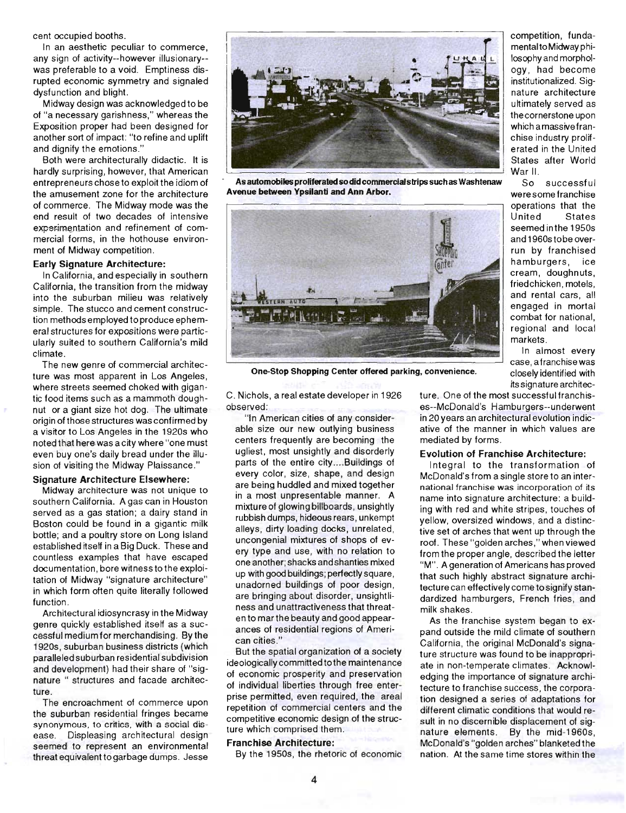cent occupied booths.

In an aesthetic peculiar to commerce, any sign of activity--however illusionary- was preferable to a void. Emptiness disrupted economic symmetry and signaled dysfunction and blight.

Midway design was acknowledged to be of "a necessary garishness," whereas the Exposition proper had been designed for another sort of impact: ''to refine and uplift and dignify the emotions."

Both were architecturally didactic. It is hardly surprising, however, that American entrepreneurs chose to exploit the idiom of the amusement zone for the architecture of commerce. The Midway mode was the end result of two decades of intensive experimentation and refinement of commercial forms, in the hothouse environment of Midway competition.

#### Early Signature Architecture:

In California, and especially in southern California, the transition from the midway into the suburban milieu was relatively simple. The stucco and cement construction methods employed to produce ephemeral structures for expositions were particularly suited to southern California's mild climate.

The new genre of commercial architecture was most apparent in Los Angeles, where streets seemed choked with gigantic food items such as a mammoth doughnut or a giant size hot dog. The ultimate origin of those structures was confirmed by a visitor to Los Angeles in the 1920s who noted that here was a city where "one must even buy one's daily bread under the illusion of visiting the Midway Plaissance."

#### Signature Architecture Elsewhere:

Midway architecture was not unique to southern California. A gas can in Houston served as a gas station; a dairy stand in Boston could be found in a gigantic milk bottle; and a poultry store on Long Island established itself in a Big Duck. These and countless examples that have escaped documentation, bore witnesstothe exploitation of Midway "signature architecture" in which form often quite literally followed function.

Architectural idiosyncrasy in the Midway genre quickly established itself as a successful medium for merchandising. By the 1 920s, suburban business districts (which paralleled suburban residential subdivision and development) had their share of "signature " structures and facade architecture.

The encroachment of commerce upon the suburban residential fringes became synonymous, to critics, with a social disease. Displeasing architectural design seemed to represent an environmental threat equivalent to garbage dumps. Jesse



As automobiles proliferated so did commercial strips such as Washtenaw Avenue between Ypsilanti and Ann Arbor.



One-Stop Shopping Center offered parking, convenience.

C. Nichols, a real estate developer in 1926 observed:

"In American cities of any considerable size our new outlying business centers frequently are becoming the ugliest, most unsightly and disorderly parts of the entire city .. .. Buildings of every color, size, shape, and design . are being huddled and mixed together in a most unpresentable manner. A mixture of glowing billboards, unsightly rubbish dumps, hideous rears, unkempt alleys, dirty loading docks, unrelated, uncongenial mixtures of shops of every type and use, with no relation to one another; shacks and shanties mixed up with good buildings; perfectly square, unadorned buildings of poor design, are bringing about disorder, unsightliness and unattractiveness that threaten to mar the beauty and good appearances of residential regions of American cities ."

But the spatial organization of a society ideologically committed to the maintenance of economic prosperity and preservation of individual liberties through free enterprise permitted, even required, the areal repetition of commercial centers and the competitive economic design of the structure which comprised them.

#### Franchise Architecture:

By the 1950s, the rhetoric of economic

competition, fundamental to Midway philosophy and morphology , had become institutionalized. Signature architecture ultimately served as the cornerstone upon which a massive franchise industry proliferated in the United States after World War II.

So successful were some franchise operations that the United States seemed in the 1 950s and 1 960stobe overrun by franchised hamburgers, ice cream, doughnuts, friedchicken, motels, and rental cars, all engaged in mortal combat for national, regional and local markets.

In almost every case, a franchise was closely identified with its signature architec-

ture. One of the most successful franchises--McDonald's Hamburgers--underwent in 20 years an architectural evolution indicative of the manner in which values are mediated by forms .

#### Evolution of Franchise Architecture:

Integral to the transformation of McDonald's from a single store to an international franchise was incorporation of its name into signature architecture: a building with red and white stripes, touches of yellow, oversized windows , and a distinctive set of arches that went up through the roof. These "golden arches," when viewed from the proper angle, described the letter "M". A generation of Americans has proved that such highly abstract signature architecture can effectively come to signify standardized hamburgers, French fries, and milk shakes.

As the franchise system began to expand outside the mild climate of southern California, the original McDonald's signature structure was found to be inappropriate in non-temperate climates. Acknowledging the importance of signature architecture to franchise success, the corporation designed a series of adaptations for different climatic conditions that would result in no discernible displacement of signature elements. By the mid-1960s, McDonald's "golden arches" blanketed the nation. At the same time stores within the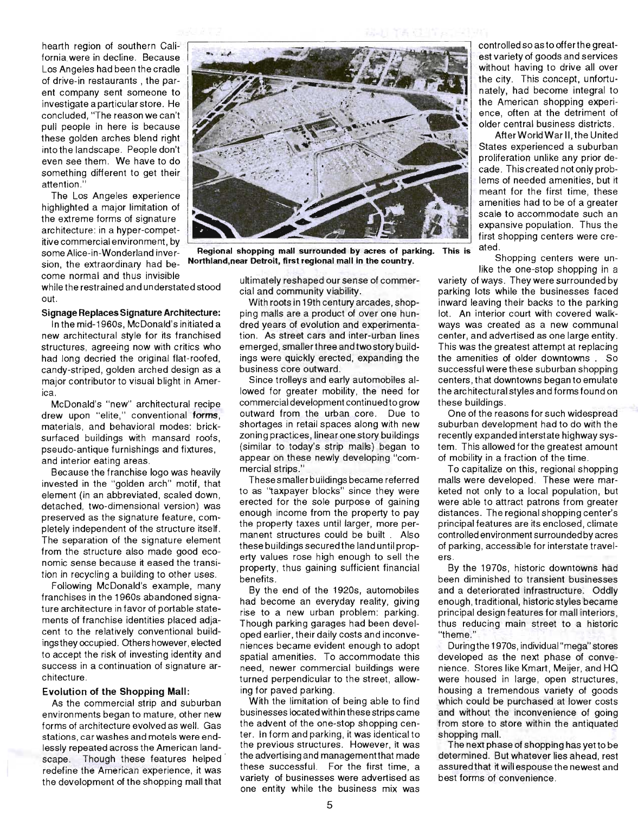hearth region of southern California were in decline. Because Los Angeles had been the cradle of drive-in restaurants, the parent company sent someone to investigate a particular store. He concluded, "The reason we can't pull people in here is because these golden arches blend right into the landscape. People don't even see them. We have to do something different to get their attention. "

The Los Angeles experience highlighted a major limitation of the extreme forms of signature architecture: in a hyper-competitive commercial environment, by some Alice-in-Wonderland inversion, the extraordinary had become normal and thus invisible

while the restrained and understated stood out.

#### **Signage Replaces Signature Architecture:**

In the mid-1960s, McDonald's initiated a new architectural style for its franchised structures, agreeing now with critics who had long decried the original flat-roofed, candy-striped, golden arched design as a major contributor to visual blight in America.

McDonald's "new" architectural recipe drew upon "elite," conventional forms, materials , and behavioral modes: bricksurfaced buildings with mansard roofs, pseudo-antique furnishings and fixtures, and interior eating areas.

Because the franchise logo was heavily invested in the "golden arch" motif, that element (in an abbreviated, scaled down , detached, two-dimensional version) was preserved as the signature feature, completely independent of the structure itself. The separation of the signature element from the structure also made good economic sense because it eased the transition in recycling a building to other uses.

Following McDonald's example, many franchises in the 1960s abandoned signature architecture in favor of portable statements of franchise identities placed adjacent to the relatively conventional buildingsthey occupied. Others however, elected to accept the risk of investing identity and success in a continuation of signature architecture.

#### **Evolution of the Shopping Mall:**

As the commercial strip and suburban environments began to mature, other new forms of architecture evolved as well. Gas stations, car washes and motels were endlessly repeated across the American landscape. Though these features helped redefine the American experience, it was the development of the shopping mall that

ultimately reshaped our sense of commercial and community viability .

With roots in 19th century arcades, shopping malls are a product of over one hundred years of evolution and experimentation. As street cars and inter-urban lines emerged, smaller three and two story buildings were quickly erected, expanding the business core outward.

Since trolleys and early automobiles allowed for greater mobility, the need for commercial development continued to grow outward from the urban core. Due to shortages in retail spaces along with new zoning practices, linear one story buildings (similar to today's strip malls) began to appear on these newly developing "commercial strips."

These smaller buildings became referred to as "taxpayer blocks" since they were erected for the sole purpose of gaining enough income from the property to pay the property taxes until larger, more permanent structures could be built. Also these buildings secured the land until property values rose high enough to sell the property, thus gaining sufficient financial benefits.

By the end of the 1920s, automobiles had become an everyday reality, giving rise to a new urban problem: parking. Though parking garages had been developed earlier, their daily costs and inconveniences became evident enough to adopt spatial amenities. To accommodate this need, newer commercial buildings were turned perpendicular to the street, allowing for paved parking.

With the limitation of being able to find businesses located within these strips came the advent of the one-stop shopping center. In form and parking, it was identical to the previous structures. However, it was the advertising and managementthat made these successful. For the first time, a variety of businesses were advertised as one entity while the business mix was

controlled so as to offer the greatest variety of goods and services without having to drive all over the city. This concept, unfortunately, had become integral to the American shopping experience, often at the detriment of older central business districts.

After World War II, the United States experienced a suburban proliferation unlike any prior decade. This created not only problems of needed amenities, but it meant for the first time, these amenities had to be of a greater scale to accommodate such an expansive population. Thus the first shopping centers Were created.

like the one-stop shopping in a

variety of ways. They were surrounded by parking lots while the businesses faced inward leaving their backs to the parking lot. An interior court with covered walkways was created as a new communal center, and advertised as one large entity. This was the greatest attempt at replacing the amenities of older downtowns. So successful were these suburban shopping centers , that downtowns began to emulate the architectural styles and forms found on these buildings.

One of the reasons for such widespread suburban development had to do with the recently expanded interstate highway system. This allowed for the greatest amount of mobility in a fraction of the time .

To capitalize on this, regional shopping malls were developed. These were marketed not only to a local population, but were able to attract patrons from greater distances. The regional shopping center's principal features are its enclosed, climate controlled environment surroundedby acres of parking, accessible for interstate travelers

By the 1970s, historic downtowns had been diminished to transient businesses and a deteriorated infrastructure. Oddly enough, traditional, historic styles became principal design features for mall interiors, thus reducing main street to a historic "theme."

During the 1970s, individual "mega" stores developed as the next phase of convenience. Stores like Kmart, Meijer, and HQ were housed in large, open structures, housing a tremendous variety of goods which could be purchased at lower costs and without the inconvenience of going from store to store within the antiquated shopping mall.

The next phase of shopping has yet to be determined. But whatever lies ahead, rest assured that it will espouse the newest and best forms of convenience ,

Regional shopping mall surrounded by acres of parking. This is <sup>ated.</sup><br>Nothiand pear Detroit first regional mall in the country. Shopping centers were un-**Northland,near Detroit, first regional mall in the country.**